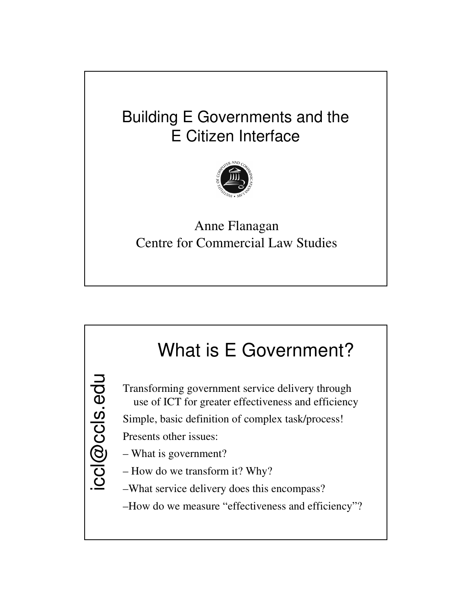## Building E Governments and the E Citizen Interface



### Anne Flanagan Centre for Commercial Law Studies

## iccl@ccls.edu What is E Government? Transforming government service delivery through use of ICT for greater effectiveness and efficiency Simple, basic definition of complex task/process! Presents other issues: – What is government? – How do we transform it? Why? –What service delivery does this encompass? –How do we measure "effectiveness and efficiency"?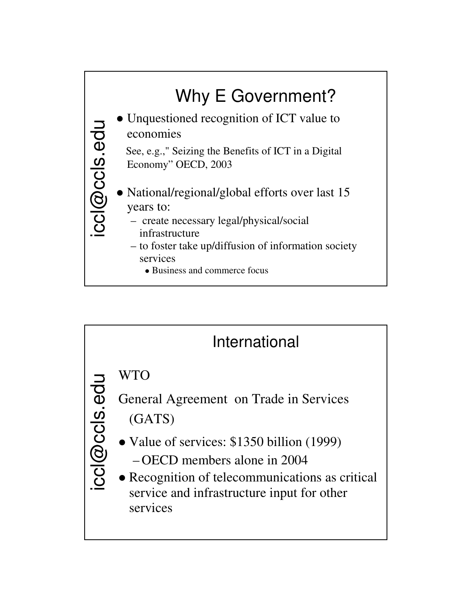

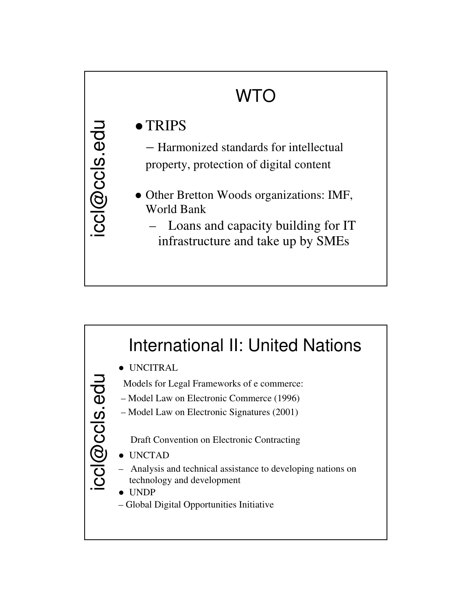# WTO

## • TRIPS

iccl@ccls.edu

- Harmonized standards for intellectual property, protection of digital content
- Other Bretton Woods organizations: IMF, World Bank
	- Loans and capacity building for IT infrastructure and take up by SMEs

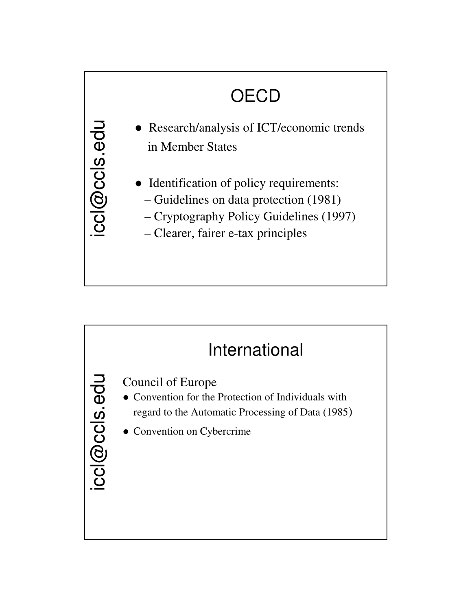# **OECD**

- Research/analysis of ICT/economic trends in Member States
	- Identification of policy requirements:
		- Guidelines on data protection (1981)
		- Cryptography Policy Guidelines (1997)
		- Clearer, fairer e-tax principles

iccl@ccls.edu

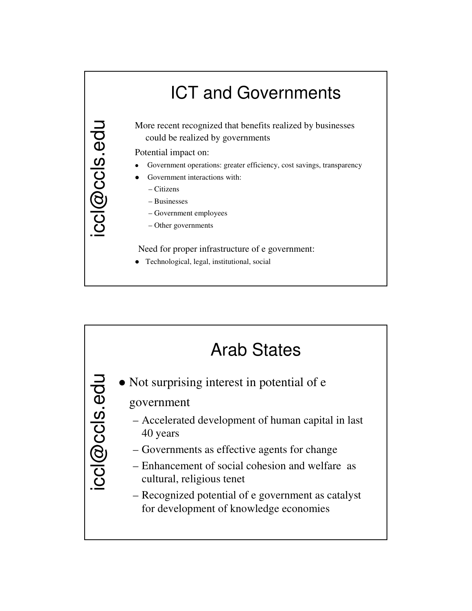

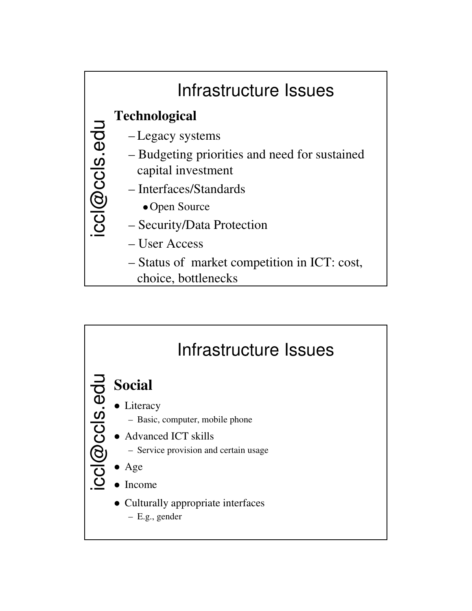

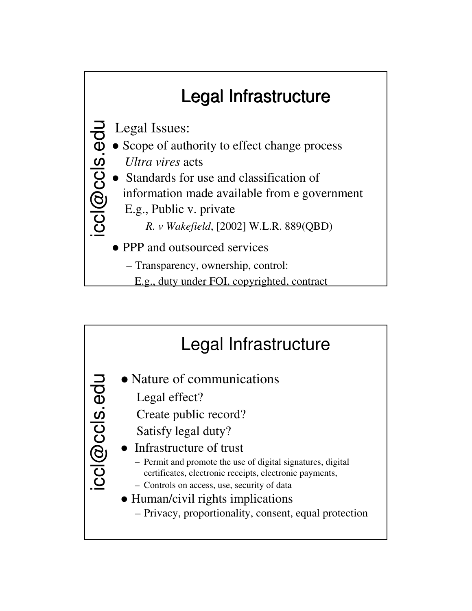

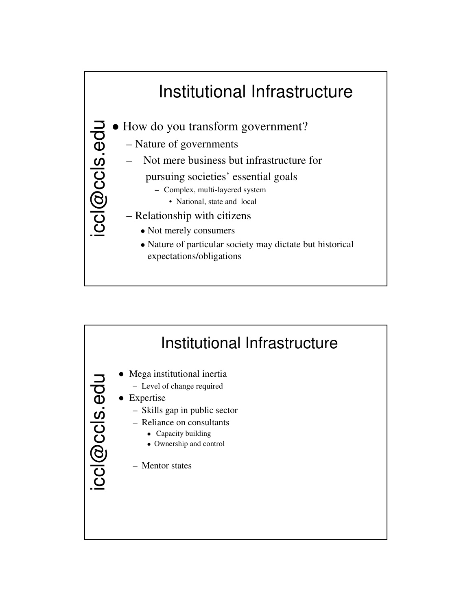

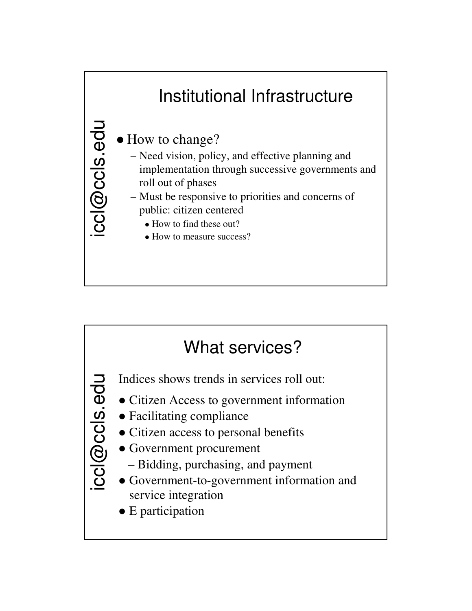

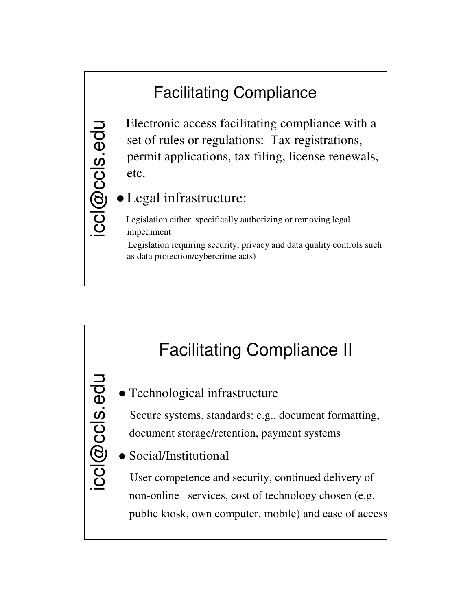## Facilitating Compliance

Electronic access facilitating compliance with a set of rules or regulations: Tax registrations, permit applications, tax filing, license renewals, etc.

### Legal infrastructure:

ccl@ccls.edu

Legislation either specifically authorizing or removing legal impediment

Legislation requiring security, privacy and data quality controls such as data protection/cybercrime acts)

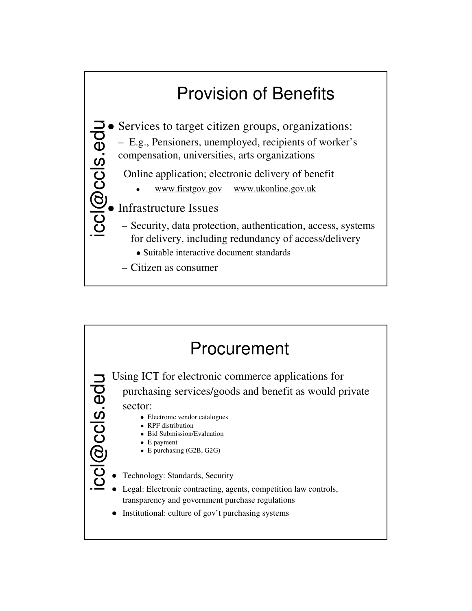

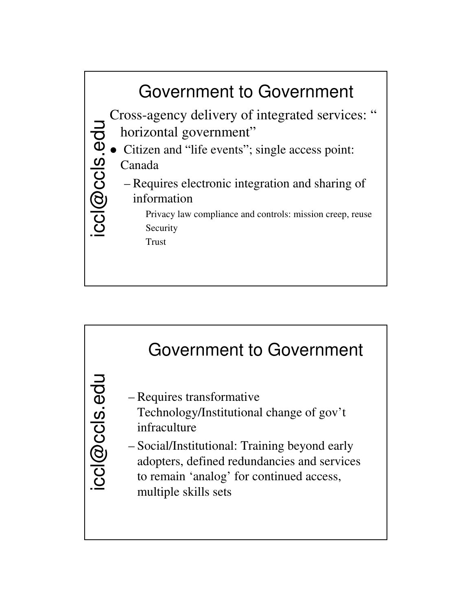

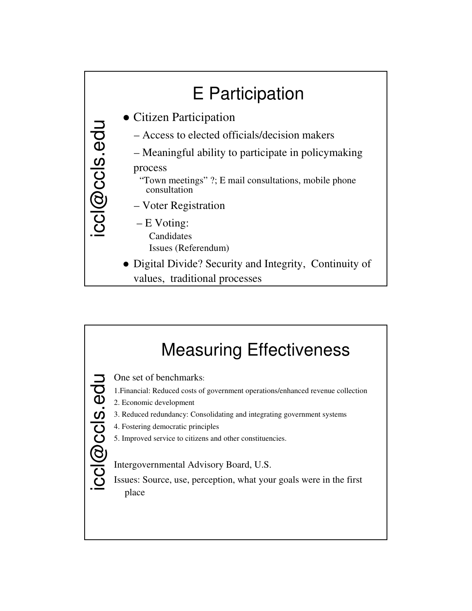

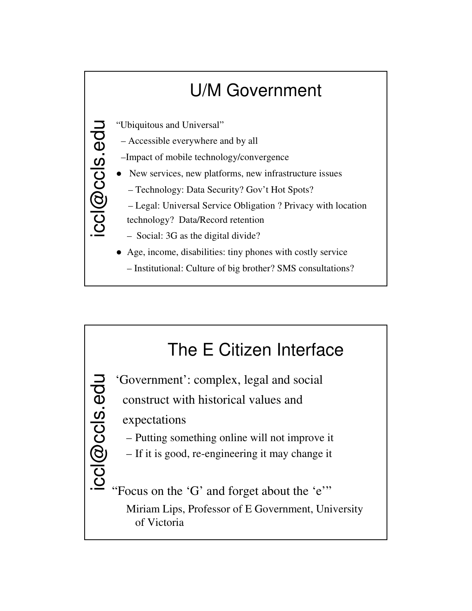

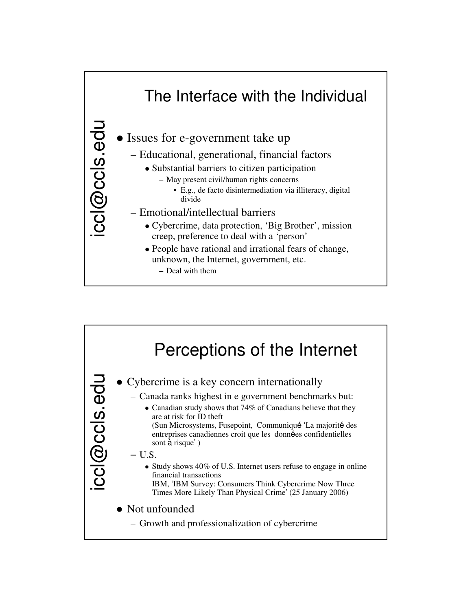

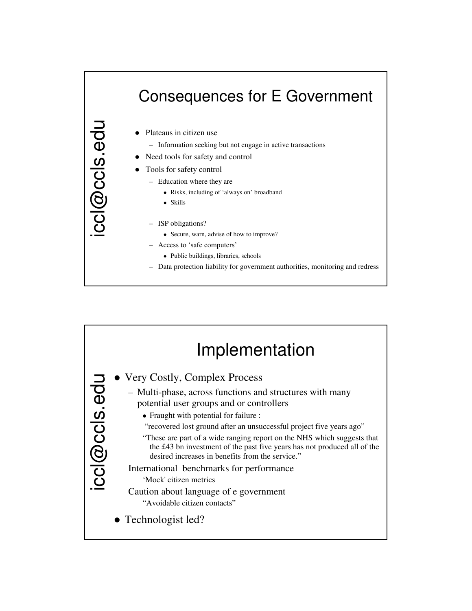#### iccl@ccls.edu Consequences for E Government • Plateaus in citizen use – Information seeking but not engage in active transactions • Need tools for safety and control Tools for safety control – Education where they are Risks, including of 'always on' broadband Skills – ISP obligations? Secure, warn, advise of how to improve?

- Access to 'safe computers'
	- Public buildings, libraries, schools
- Data protection liability for government authorities, monitoring and redress